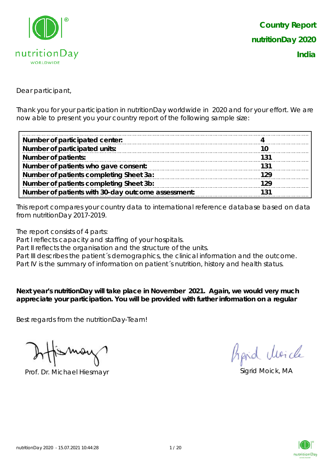

Dear participant,

Thank you for your participation in nutritionDay worldwide in 2020 and for your effort. We are now able to present you your country report of the following sample size:

| Number of participated center:                     |     |
|----------------------------------------------------|-----|
| Number of participated units:                      |     |
| <b>Number of patients:</b>                         | 131 |
| Number of patients who gave consent:               | 131 |
| Number of patients completing Sheet 3a:            | 129 |
| Number of patients completing Sheet 3b:            | 129 |
| Number of patients with 30-day outcome assessment: | 131 |

This report compares your country data to international reference database based on data from nutritionDay 2017-2019.

The report consists of 4 parts:

Part I reflects capacity and staffing of your hospitals.

Part II reflects the organisation and the structure of the units.

Part III describes the patient's demographics, the clinical information and the outcome.

Part IV is the summary of information on patient´s nutrition, history and health status.

**Next year's nutritionDay will take place in November 2021. Again, we would very much appreciate your participation. You will be provided with further information on a regular** 

Best regards from the nutritionDay-Team!

Prof. Dr. Michael Hiesmayr Sigrid Moick, MA

Aprid Moich

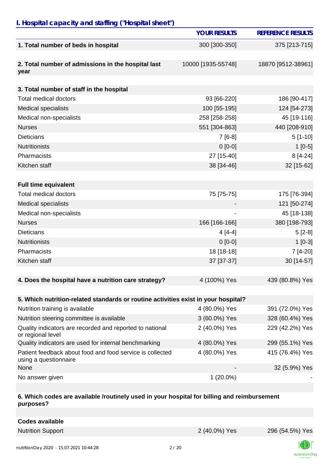## *I. Hospital capacity and staffing ("Hospital sheet")*

|                                                                                    | <b>YOUR RESULTS</b> | <b>REFERENCE RESULTS</b> |
|------------------------------------------------------------------------------------|---------------------|--------------------------|
| 1. Total number of beds in hospital                                                | 300 [300-350]       | 375 [213-715]            |
|                                                                                    |                     |                          |
| 2. Total number of admissions in the hospital last                                 | 10000 [1935-55748]  | 18870 [9512-38961]       |
| year                                                                               |                     |                          |
| 3. Total number of staff in the hospital                                           |                     |                          |
| <b>Total medical doctors</b>                                                       | 93 [66-220]         | 186 [90-417]             |
| <b>Medical specialists</b>                                                         | 100 [55-195]        | 124 [54-273]             |
| Medical non-specialists                                                            | 258 [258-258]       | 45 [19-116]              |
| <b>Nurses</b>                                                                      | 551 [304-863]       | 440 [208-910]            |
| <b>Dieticians</b>                                                                  | $7[6-8]$            | $5[1-10]$                |
| <b>Nutritionists</b>                                                               | $0[0-0]$            | $1[0-5]$                 |
| Pharmacists                                                                        | 27 [15-40]          | $8[4-24]$                |
| Kitchen staff                                                                      | 38 [34-46]          | 32 [15-62]               |
|                                                                                    |                     |                          |
| <b>Full time equivalent</b>                                                        |                     |                          |
| <b>Total medical doctors</b>                                                       | 75 [75-75]          | 175 [76-394]             |
| <b>Medical specialists</b>                                                         |                     | 121 [50-274]             |
| Medical non-specialists                                                            |                     | 45 [18-138]              |
| <b>Nurses</b>                                                                      | 166 [166-166]       | 380 [198-793]            |
| <b>Dieticians</b>                                                                  | $4[4-4]$            | $5[2-8]$                 |
| <b>Nutritionists</b>                                                               | $0[0-0]$            | $1[0-3]$                 |
| Pharmacists                                                                        | 18 [18-18]          | 7 [4-20]                 |
| Kitchen staff                                                                      | 37 [37-37]          | 30 [14-57]               |
|                                                                                    |                     |                          |
| 4. Does the hospital have a nutrition care strategy?                               | 4 (100%) Yes        | 439 (80.8%) Yes          |
|                                                                                    |                     |                          |
| 5. Which nutrition-related standards or routine activities exist in your hospital? |                     |                          |
| Nutrition training is available                                                    | 4 (80.0%) Yes       | 391 (72.0%) Yes          |
| Nutrition steering committee is available                                          | 3 (60.0%) Yes       | 328 (60.4%) Yes          |
| Quality indicators are recorded and reported to national<br>or regional level      | 2 (40.0%) Yes       | 229 (42.2%) Yes          |
| Quality indicators are used for internal benchmarking                              | 4 (80.0%) Yes       | 299 (55.1%) Yes          |
| Patient feedback about food and food service is collected<br>using a questionnaire | 4 (80.0%) Yes       | 415 (76.4%) Yes          |
| None                                                                               |                     | 32 (5.9%) Yes            |
| No answer given                                                                    | $1(20.0\%)$         |                          |

#### **6. Which codes are available /routinely used in your hospital for billing and reimbursement purposes?**

|  |  | <b>Codes available</b> |
|--|--|------------------------|
|--|--|------------------------|

Nutrition Support 2 (40.0%) Yes 296 (54.5%) Yes

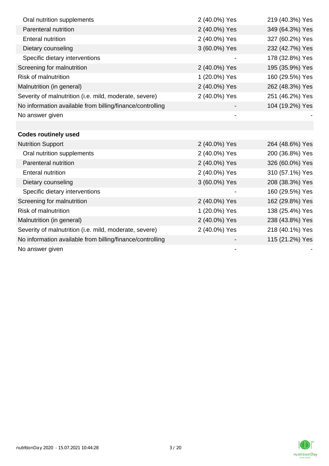| Oral nutrition supplements                                | 2 (40.0%) Yes | 219 (40.3%) Yes |
|-----------------------------------------------------------|---------------|-----------------|
| Parenteral nutrition                                      | 2 (40.0%) Yes | 349 (64.3%) Yes |
| <b>Enteral nutrition</b>                                  | 2 (40.0%) Yes | 327 (60.2%) Yes |
| Dietary counseling                                        | 3 (60.0%) Yes | 232 (42.7%) Yes |
| Specific dietary interventions                            |               | 178 (32.8%) Yes |
| Screening for malnutrition                                | 2 (40.0%) Yes | 195 (35.9%) Yes |
| <b>Risk of malnutrition</b>                               | 1 (20.0%) Yes | 160 (29.5%) Yes |
| Malnutrition (in general)                                 | 2 (40.0%) Yes | 262 (48.3%) Yes |
| Severity of malnutrition (i.e. mild, moderate, severe)    | 2 (40.0%) Yes | 251 (46.2%) Yes |
| No information available from billing/finance/controlling |               | 104 (19.2%) Yes |
| No answer given                                           |               |                 |
|                                                           |               |                 |
| <b>Codes routinely used</b>                               |               |                 |
| <b>Nutrition Support</b>                                  | 2 (40.0%) Yes | 264 (48.6%) Yes |
| Oral nutrition supplements                                | 2 (40.0%) Yes | 200 (36.8%) Yes |
| Parenteral nutrition                                      | 2 (40.0%) Yes | 326 (60.0%) Yes |
| <b>Enteral nutrition</b>                                  | 2 (40.0%) Yes | 310 (57.1%) Yes |
| Dietary counseling                                        | 3 (60.0%) Yes | 208 (38.3%) Yes |
| Specific dietary interventions                            |               | 160 (29.5%) Yes |
| Screening for malnutrition                                | 2 (40.0%) Yes | 162 (29.8%) Yes |
| <b>Risk of malnutrition</b>                               | 1 (20.0%) Yes | 138 (25.4%) Yes |
| Malnutrition (in general)                                 | 2 (40.0%) Yes | 238 (43.8%) Yes |
| Severity of malnutrition (i.e. mild, moderate, severe)    | 2 (40.0%) Yes | 218 (40.1%) Yes |
| No information available from billing/finance/controlling |               | 115 (21.2%) Yes |
| No answer given                                           |               |                 |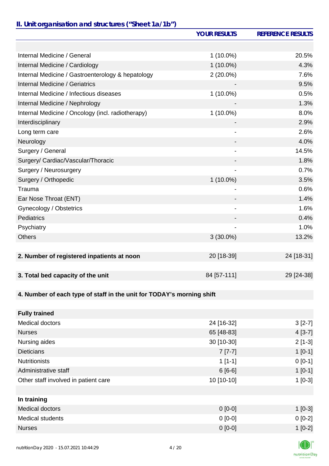# *II. Unit organisation and structures ("Sheet 1a/1b")*

|                                                                       | <b>YOUR RESULTS</b> | <b>REFERENCE RESULTS</b> |
|-----------------------------------------------------------------------|---------------------|--------------------------|
|                                                                       |                     |                          |
| Internal Medicine / General                                           | $1(10.0\%)$         | 20.5%                    |
| Internal Medicine / Cardiology                                        | $1(10.0\%)$         | 4.3%                     |
| Internal Medicine / Gastroenterology & hepatology                     | $2(20.0\%)$         | 7.6%                     |
| <b>Internal Medicine / Geriatrics</b>                                 |                     | 9.5%                     |
| Internal Medicine / Infectious diseases                               | $1(10.0\%)$         | 0.5%                     |
| Internal Medicine / Nephrology                                        |                     | 1.3%                     |
| Internal Medicine / Oncology (incl. radiotherapy)                     | $1(10.0\%)$         | 8.0%                     |
| Interdisciplinary                                                     |                     | 2.9%                     |
| Long term care                                                        |                     | 2.6%                     |
| Neurology                                                             |                     | 4.0%                     |
| Surgery / General                                                     |                     | 14.5%                    |
| Surgery/ Cardiac/Vascular/Thoracic                                    |                     | 1.8%                     |
| Surgery / Neurosurgery                                                |                     | 0.7%                     |
| Surgery / Orthopedic                                                  | $1(10.0\%)$         | 3.5%                     |
| Trauma                                                                | $\overline{a}$      | 0.6%                     |
| Ear Nose Throat (ENT)                                                 |                     | 1.4%                     |
| Gynecology / Obstetrics                                               | $\overline{a}$      | 1.6%                     |
| Pediatrics                                                            |                     | 0.4%                     |
| Psychiatry                                                            |                     | 1.0%                     |
| <b>Others</b>                                                         | $3(30.0\%)$         | 13.2%                    |
|                                                                       |                     |                          |
| 2. Number of registered inpatients at noon                            | 20 [18-39]          | 24 [18-31]               |
|                                                                       |                     |                          |
| 3. Total bed capacity of the unit                                     | 84 [57-111]         | 29 [24-38]               |
|                                                                       |                     |                          |
| 4. Number of each type of staff in the unit for TODAY's morning shift |                     |                          |
|                                                                       |                     |                          |
| <b>Fully trained</b>                                                  |                     |                          |
| Medical doctors                                                       | 24 [16-32]          | $3[2-7]$                 |
| <b>Nurses</b>                                                         | 65 [48-83]          | $4[3-7]$                 |
| Nursing aides                                                         | 30 [10-30]          | $2[1-3]$                 |
| <b>Dieticians</b>                                                     | $7 [7-7]$           | $1[0-1]$                 |
| <b>Nutritionists</b>                                                  | $1[1-1]$            | $0[0-1]$                 |
| Administrative staff                                                  | $6[6-6]$            | $1[0-1]$                 |
| Other staff involved in patient care                                  | 10 [10-10]          | $1[0-3]$                 |
|                                                                       |                     |                          |
| In training                                                           |                     |                          |
| Medical doctors                                                       | $0 [0-0]$           | $1[0-3]$                 |
| <b>Medical students</b>                                               | $0 [0-0]$           | $0[0-2]$                 |
| <b>Nurses</b>                                                         | $0 [0-0]$           | $1[0-2]$                 |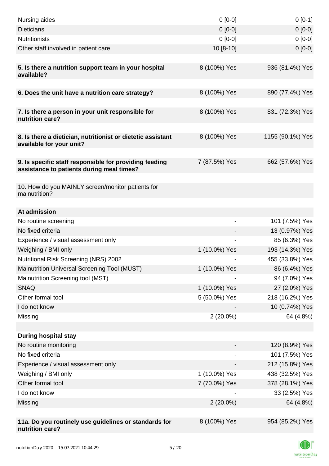| Nursing aides                                                                                       | $0 [0-0]$     | $0[0-1]$         |
|-----------------------------------------------------------------------------------------------------|---------------|------------------|
| <b>Dieticians</b>                                                                                   | $0 [0-0]$     | $0 [0-0]$        |
| <b>Nutritionists</b>                                                                                | $0 [0-0]$     | $0[0-0]$         |
| Other staff involved in patient care                                                                | 10 [8-10]     | $0 [0-0]$        |
|                                                                                                     |               |                  |
| 5. Is there a nutrition support team in your hospital<br>available?                                 | 8 (100%) Yes  | 936 (81.4%) Yes  |
| 6. Does the unit have a nutrition care strategy?                                                    | 8 (100%) Yes  | 890 (77.4%) Yes  |
|                                                                                                     |               |                  |
| 7. Is there a person in your unit responsible for<br>nutrition care?                                | 8 (100%) Yes  | 831 (72.3%) Yes  |
| 8. Is there a dietician, nutritionist or dietetic assistant<br>available for your unit?             | 8 (100%) Yes  | 1155 (90.1%) Yes |
| 9. Is specific staff responsible for providing feeding<br>assistance to patients during meal times? | 7 (87.5%) Yes | 662 (57.6%) Yes  |
| 10. How do you MAINLY screen/monitor patients for<br>malnutrition?                                  |               |                  |
| At admission                                                                                        |               |                  |
| No routine screening                                                                                | -             | 101 (7.5%) Yes   |
| No fixed criteria                                                                                   |               | 13 (0.97%) Yes   |
| Experience / visual assessment only                                                                 |               | 85 (6.3%) Yes    |
| Weighing / BMI only                                                                                 | 1 (10.0%) Yes | 193 (14.3%) Yes  |
| Nutritional Risk Screening (NRS) 2002                                                               |               | 455 (33.8%) Yes  |
| <b>Malnutrition Universal Screening Tool (MUST)</b>                                                 | 1 (10.0%) Yes | 86 (6.4%) Yes    |
| Malnutrition Screening tool (MST)                                                                   |               | 94 (7.0%) Yes    |
| <b>SNAQ</b>                                                                                         | 1 (10.0%) Yes | 27 (2.0%) Yes    |
| Other formal tool                                                                                   | 5 (50.0%) Yes | 218 (16.2%) Yes  |
| I do not know                                                                                       |               | 10 (0.74%) Yes   |
| Missing                                                                                             | $2(20.0\%)$   | 64 (4.8%)        |
|                                                                                                     |               |                  |
| <b>During hospital stay</b>                                                                         |               |                  |
| No routine monitoring                                                                               |               | 120 (8.9%) Yes   |
| No fixed criteria                                                                                   |               | 101 (7.5%) Yes   |
| Experience / visual assessment only                                                                 |               | 212 (15.8%) Yes  |
| Weighing / BMI only                                                                                 | 1 (10.0%) Yes | 438 (32.5%) Yes  |
| Other formal tool                                                                                   | 7 (70.0%) Yes | 378 (28.1%) Yes  |
| I do not know                                                                                       |               | 33 (2.5%) Yes    |
| Missing                                                                                             | $2(20.0\%)$   | 64 (4.8%)        |
|                                                                                                     |               |                  |
| 11a. Do you routinely use guidelines or standards for<br>nutrition care?                            | 8 (100%) Yes  | 954 (85.2%) Yes  |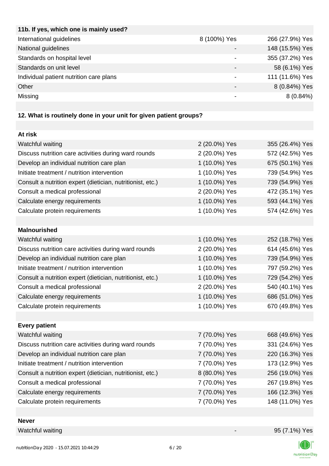| 11b. If yes, which one is mainly used?   |                 |
|------------------------------------------|-----------------|
| International guidelines<br>8 (100%) Yes | 266 (27.9%) Yes |
|                                          | 148 (15.5%) Yes |
| Standards on hospital level              | 355 (37.2%) Yes |
| Standards on unit level                  | 58 (6.1%) Yes   |
| Individual patient nutrition care plans  | 111 (11.6%) Yes |
|                                          | 8 (0.84%) Yes   |
|                                          | $8(0.84\%)$     |
|                                          |                 |

# **12. What is routinely done in your unit for given patient groups?**

| At risk                                                    |               |                 |
|------------------------------------------------------------|---------------|-----------------|
| Watchful waiting                                           | 2 (20.0%) Yes | 355 (26.4%) Yes |
| Discuss nutrition care activities during ward rounds       | 2 (20.0%) Yes | 572 (42.5%) Yes |
| Develop an individual nutrition care plan                  | 1 (10.0%) Yes | 675 (50.1%) Yes |
| Initiate treatment / nutrition intervention                | 1 (10.0%) Yes | 739 (54.9%) Yes |
| Consult a nutrition expert (dietician, nutritionist, etc.) | 1 (10.0%) Yes | 739 (54.9%) Yes |
| Consult a medical professional                             | 2 (20.0%) Yes | 472 (35.1%) Yes |
| Calculate energy requirements                              | 1 (10.0%) Yes | 593 (44.1%) Yes |
| Calculate protein requirements                             | 1 (10.0%) Yes | 574 (42.6%) Yes |
|                                                            |               |                 |
| <b>Malnourished</b>                                        |               |                 |
| Watchful waiting                                           | 1 (10.0%) Yes | 252 (18.7%) Yes |
| Discuss nutrition care activities during ward rounds       | 2 (20.0%) Yes | 614 (45.6%) Yes |
| Develop an individual nutrition care plan                  | 1 (10.0%) Yes | 739 (54.9%) Yes |
| Initiate treatment / nutrition intervention                | 1 (10.0%) Yes | 797 (59.2%) Yes |
| Consult a nutrition expert (dietician, nutritionist, etc.) | 1 (10.0%) Yes | 729 (54.2%) Yes |
| Consult a medical professional                             | 2 (20.0%) Yes | 540 (40.1%) Yes |
| Calculate energy requirements                              | 1 (10.0%) Yes | 686 (51.0%) Yes |
| Calculate protein requirements                             | 1 (10.0%) Yes | 670 (49.8%) Yes |
|                                                            |               |                 |
| <b>Every patient</b>                                       |               |                 |
| Watchful waiting                                           | 7 (70.0%) Yes | 668 (49.6%) Yes |
| Discuss nutrition care activities during ward rounds       | 7 (70.0%) Yes | 331 (24.6%) Yes |
| Develop an individual nutrition care plan                  | 7 (70.0%) Yes | 220 (16.3%) Yes |
| Initiate treatment / nutrition intervention                | 7 (70.0%) Yes | 173 (12.9%) Yes |
| Consult a nutrition expert (dietician, nutritionist, etc.) | 8 (80.0%) Yes | 256 (19.0%) Yes |
| Consult a medical professional                             | 7 (70.0%) Yes | 267 (19.8%) Yes |
| Calculate energy requirements                              | 7 (70.0%) Yes | 166 (12.3%) Yes |
| Calculate protein requirements                             | 7 (70.0%) Yes | 148 (11.0%) Yes |
|                                                            |               |                 |

#### **Never**

Watchful waiting  $95 (7.1\%)$  Yes

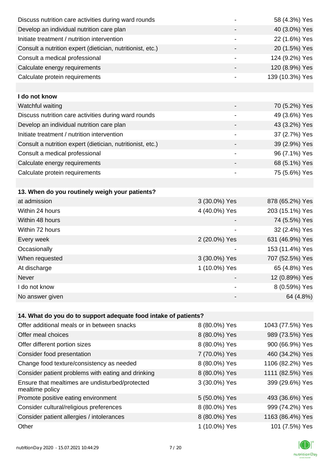| Discuss nutrition care activities during ward rounds               |                              | 58 (4.3%) Yes    |
|--------------------------------------------------------------------|------------------------------|------------------|
| Develop an individual nutrition care plan                          |                              | 40 (3.0%) Yes    |
| Initiate treatment / nutrition intervention                        | $\qquad \qquad \blacksquare$ | 22 (1.6%) Yes    |
| Consult a nutrition expert (dietician, nutritionist, etc.)         | -                            | 20 (1.5%) Yes    |
| Consult a medical professional                                     | -                            | 124 (9.2%) Yes   |
| Calculate energy requirements                                      |                              | 120 (8.9%) Yes   |
| Calculate protein requirements                                     |                              | 139 (10.3%) Yes  |
|                                                                    |                              |                  |
| I do not know                                                      |                              |                  |
| Watchful waiting                                                   |                              | 70 (5.2%) Yes    |
| Discuss nutrition care activities during ward rounds               | -                            | 49 (3.6%) Yes    |
| Develop an individual nutrition care plan                          |                              | 43 (3.2%) Yes    |
| Initiate treatment / nutrition intervention                        |                              | 37 (2.7%) Yes    |
| Consult a nutrition expert (dietician, nutritionist, etc.)         |                              | 39 (2.9%) Yes    |
| Consult a medical professional                                     |                              | 96 (7.1%) Yes    |
| Calculate energy requirements                                      |                              | 68 (5.1%) Yes    |
| Calculate protein requirements                                     |                              | 75 (5.6%) Yes    |
|                                                                    |                              |                  |
| 13. When do you routinely weigh your patients?                     |                              |                  |
| at admission                                                       | 3 (30.0%) Yes                | 878 (65.2%) Yes  |
| Within 24 hours                                                    | 4 (40.0%) Yes                | 203 (15.1%) Yes  |
| Within 48 hours                                                    |                              | 74 (5.5%) Yes    |
| Within 72 hours                                                    |                              | 32 (2.4%) Yes    |
| Every week                                                         | 2 (20.0%) Yes                | 631 (46.9%) Yes  |
| Occasionally                                                       |                              | 153 (11.4%) Yes  |
| When requested                                                     | 3 (30.0%) Yes                | 707 (52.5%) Yes  |
| At discharge                                                       | 1 (10.0%) Yes                | 65 (4.8%) Yes    |
| <b>Never</b>                                                       |                              | 12 (0.89%) Yes   |
| I do not know                                                      |                              | 8 (0.59%) Yes    |
| No answer given                                                    |                              | 64 (4.8%)        |
|                                                                    |                              |                  |
| 14. What do you do to support adequate food intake of patients?    |                              |                  |
| Offer additional meals or in between snacks                        | 8 (80.0%) Yes                | 1043 (77.5%) Yes |
| Offer meal choices                                                 | 8 (80.0%) Yes                | 989 (73.5%) Yes  |
| Offer different portion sizes                                      | 8 (80.0%) Yes                | 900 (66.9%) Yes  |
| Consider food presentation                                         | 7 (70.0%) Yes                | 460 (34.2%) Yes  |
| Change food texture/consistency as needed                          | 8 (80.0%) Yes                | 1106 (82.2%) Yes |
| Consider patient problems with eating and drinking                 | 8 (80.0%) Yes                | 1111 (82.5%) Yes |
| Ensure that mealtimes are undisturbed/protected<br>mealtime policy | 3 (30.0%) Yes                | 399 (29.6%) Yes  |
| Promote positive eating environment                                | 5 (50.0%) Yes                | 493 (36.6%) Yes  |
| Consider cultural/religious preferences                            | 8 (80.0%) Yes                | 999 (74.2%) Yes  |
| Consider patient allergies / intolerances                          | 8 (80.0%) Yes                | 1163 (86.4%) Yes |
| Other                                                              | 1 (10.0%) Yes                | 101 (7.5%) Yes   |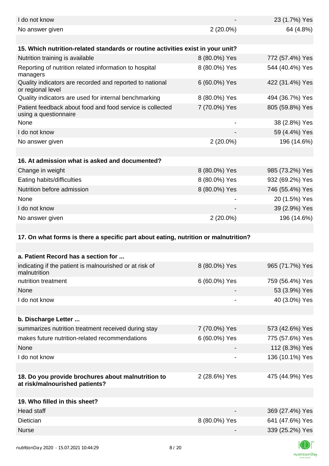| I do not know                                                                        |               | 23 (1.7%) Yes                      |
|--------------------------------------------------------------------------------------|---------------|------------------------------------|
| No answer given                                                                      | $2(20.0\%)$   | 64 (4.8%)                          |
| 15. Which nutrition-related standards or routine activities exist in your unit?      |               |                                    |
| Nutrition training is available                                                      | 8 (80.0%) Yes | 772 (57.4%) Yes                    |
| Reporting of nutrition related information to hospital<br>managers                   | 8 (80.0%) Yes | 544 (40.4%) Yes                    |
| Quality indicators are recorded and reported to national<br>or regional level        | 6 (60.0%) Yes | 422 (31.4%) Yes                    |
| Quality indicators are used for internal benchmarking                                | 8 (80.0%) Yes | 494 (36.7%) Yes                    |
| Patient feedback about food and food service is collected<br>using a questionnaire   | 7 (70.0%) Yes | 805 (59.8%) Yes                    |
| None                                                                                 |               | 38 (2.8%) Yes                      |
| I do not know                                                                        |               | 59 (4.4%) Yes                      |
| No answer given                                                                      | $2(20.0\%)$   | 196 (14.6%)                        |
|                                                                                      |               |                                    |
| 16. At admission what is asked and documented?                                       |               |                                    |
| Change in weight                                                                     | 8 (80.0%) Yes | 985 (73.2%) Yes                    |
| Eating habits/difficulties                                                           | 8 (80.0%) Yes | 932 (69.2%) Yes                    |
| Nutrition before admission                                                           | 8 (80.0%) Yes | 746 (55.4%) Yes                    |
| None                                                                                 |               | 20 (1.5%) Yes                      |
| I do not know                                                                        |               | 39 (2.9%) Yes                      |
| No answer given                                                                      | $2(20.0\%)$   | 196 (14.6%)                        |
| 17. On what forms is there a specific part about eating, nutrition or malnutrition?  |               |                                    |
|                                                                                      |               |                                    |
| a. Patient Record has a section for                                                  |               |                                    |
| indicating if the patient is malnourished or at risk of<br>malnutrition              | 8 (80.0%) Yes | 965 (71.7%) Yes                    |
| nutrition treatment                                                                  | 6 (60.0%) Yes | 759 (56.4%) Yes                    |
| None                                                                                 |               | 53 (3.9%) Yes                      |
| I do not know                                                                        |               | 40 (3.0%) Yes                      |
|                                                                                      |               |                                    |
| b. Discharge Letter                                                                  |               |                                    |
| summarizes nutrition treatment received during stay                                  | 7 (70.0%) Yes | 573 (42.6%) Yes                    |
| makes future nutrition-related recommendations                                       | 6 (60.0%) Yes | 775 (57.6%) Yes                    |
| None                                                                                 |               | 112 (8.3%) Yes                     |
| I do not know                                                                        |               | 136 (10.1%) Yes                    |
| 18. Do you provide brochures about malnutrition to<br>at risk/malnourished patients? | 2 (28.6%) Yes | 475 (44.9%) Yes                    |
| 19. Who filled in this sheet?                                                        |               |                                    |
| Head staff                                                                           |               |                                    |
| Dietician                                                                            |               | 369 (27.4%) Yes                    |
| <b>Nurse</b>                                                                         | 8 (80.0%) Yes | 641 (47.6%) Yes<br>339 (25.2%) Yes |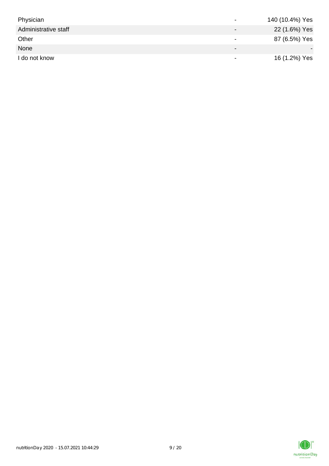| Physician            | $\overline{\phantom{0}}$ | 140 (10.4%) Yes |
|----------------------|--------------------------|-----------------|
| Administrative staff | $\overline{\phantom{0}}$ | 22 (1.6%) Yes   |
| Other                |                          | 87 (6.5%) Yes   |
| None                 | $\blacksquare$           |                 |
| I do not know        |                          | 16 (1.2%) Yes   |

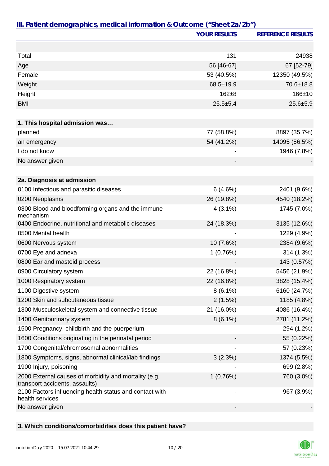|                                                                                         | <b>YOUR RESULTS</b>      | <b>REFERENCE RESULTS</b> |
|-----------------------------------------------------------------------------------------|--------------------------|--------------------------|
|                                                                                         |                          |                          |
| Total                                                                                   | 131                      | 24938                    |
| Age                                                                                     | 56 [46-67]               | 67 [52-79]               |
| Female                                                                                  | 53 (40.5%)               | 12350 (49.5%)            |
| Weight                                                                                  | 68.5±19.9                | 70.6±18.8                |
| Height                                                                                  | $162 + 8$                | $166 + 10$               |
| <b>BMI</b>                                                                              | $25.5 + 5.4$             | $25.6 + 5.9$             |
|                                                                                         |                          |                          |
| 1. This hospital admission was                                                          |                          |                          |
| planned                                                                                 | 77 (58.8%)               | 8897 (35.7%)             |
| an emergency                                                                            | 54 (41.2%)               | 14095 (56.5%)            |
| I do not know                                                                           |                          | 1946 (7.8%)              |
| No answer given                                                                         |                          |                          |
|                                                                                         |                          |                          |
| 2a. Diagnosis at admission                                                              |                          |                          |
| 0100 Infectious and parasitic diseases                                                  | 6(4.6%)                  | 2401 (9.6%)              |
| 0200 Neoplasms                                                                          | 26 (19.8%)               | 4540 (18.2%)             |
| 0300 Blood and bloodforming organs and the immune<br>mechanism                          | $4(3.1\%)$               | 1745 (7.0%)              |
| 0400 Endocrine, nutritional and metabolic diseases                                      | 24 (18.3%)               | 3135 (12.6%)             |
| 0500 Mental health                                                                      |                          | 1229 (4.9%)              |
| 0600 Nervous system                                                                     | 10 (7.6%)                | 2384 (9.6%)              |
| 0700 Eye and adnexa                                                                     | 1(0.76%)                 | 314 (1.3%)               |
| 0800 Ear and mastoid process                                                            |                          | 143 (0.57%)              |
| 0900 Circulatory system                                                                 | 22 (16.8%)               | 5456 (21.9%)             |
| 1000 Respiratory system                                                                 | 22 (16.8%)               | 3828 (15.4%)             |
| 1100 Digestive system                                                                   | $8(6.1\%)$               | 6160 (24.7%)             |
| 1200 Skin and subcutaneous tissue                                                       | 2(1.5%)                  | 1185 (4.8%)              |
| 1300 Musculoskeletal system and connective tissue                                       | 21 (16.0%)               | 4086 (16.4%)             |
| 1400 Genitourinary system                                                               | $8(6.1\%)$               | 2781 (11.2%)             |
| 1500 Pregnancy, childbirth and the puerperium                                           |                          | 294 (1.2%)               |
| 1600 Conditions originating in the perinatal period                                     |                          | 55 (0.22%)               |
| 1700 Congenital/chromosomal abnormalities                                               |                          | 57 (0.23%)               |
| 1800 Symptoms, signs, abnormal clinical/lab findings                                    | 3(2.3%)                  | 1374 (5.5%)              |
| 1900 Injury, poisoning                                                                  |                          | 699 (2.8%)               |
| 2000 External causes of morbidity and mortality (e.g.<br>transport accidents, assaults) | 1(0.76%)                 | 760 (3.0%)               |
| 2100 Factors influencing health status and contact with<br>health services              | $\overline{\phantom{a}}$ | 967 (3.9%)               |
| No answer given                                                                         |                          |                          |

### **3. Which conditions/comorbidities does this patient have?**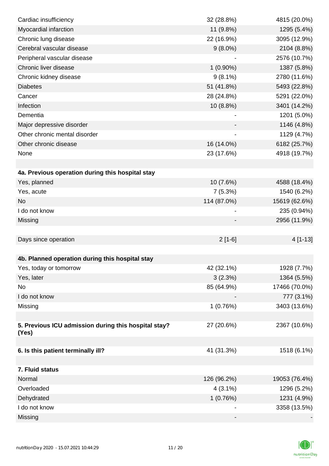| Cardiac insufficiency                                         | 32 (28.8%)  | 4815 (20.0%)  |
|---------------------------------------------------------------|-------------|---------------|
| Myocardial infarction                                         | 11 (9.8%)   | 1295 (5.4%)   |
| Chronic lung disease                                          | 22 (16.9%)  | 3095 (12.9%)  |
| Cerebral vascular disease                                     | $9(8.0\%)$  | 2104 (8.8%)   |
| Peripheral vascular disease                                   |             | 2576 (10.7%)  |
| Chronic liver disease                                         | $1(0.90\%)$ | 1387 (5.8%)   |
| Chronic kidney disease                                        | $9(8.1\%)$  | 2780 (11.6%)  |
| <b>Diabetes</b>                                               | 51 (41.8%)  | 5493 (22.8%)  |
| Cancer                                                        | 28 (24.8%)  | 5291 (22.0%)  |
| Infection                                                     | 10 (8.8%)   | 3401 (14.2%)  |
| Dementia                                                      |             | 1201 (5.0%)   |
| Major depressive disorder                                     |             | 1146 (4.8%)   |
| Other chronic mental disorder                                 |             | 1129 (4.7%)   |
| Other chronic disease                                         | 16 (14.0%)  | 6182 (25.7%)  |
| None                                                          | 23 (17.6%)  | 4918 (19.7%)  |
|                                                               |             |               |
| 4a. Previous operation during this hospital stay              |             |               |
| Yes, planned                                                  | 10 (7.6%)   | 4588 (18.4%)  |
| Yes, acute                                                    | 7(5.3%)     | 1540 (6.2%)   |
| <b>No</b>                                                     | 114 (87.0%) | 15619 (62.6%) |
| I do not know                                                 |             | 235 (0.94%)   |
| Missing                                                       |             | 2956 (11.9%)  |
|                                                               |             |               |
| Days since operation                                          | $2[1-6]$    | 4 [1-13]      |
|                                                               |             |               |
| 4b. Planned operation during this hospital stay               |             |               |
| Yes, today or tomorrow                                        | 42 (32.1%)  | 1928 (7.7%)   |
| Yes, later                                                    | 3(2.3%)     | 1364 (5.5%)   |
| No                                                            | 85 (64.9%)  | 17466 (70.0%) |
| I do not know                                                 |             | 777 (3.1%)    |
| Missing                                                       | 1(0.76%)    | 3403 (13.6%)  |
|                                                               |             |               |
| 5. Previous ICU admission during this hospital stay?<br>(Yes) | 27 (20.6%)  | 2367 (10.6%)  |
|                                                               |             |               |
| 6. Is this patient terminally ill?                            | 41 (31.3%)  | 1518 (6.1%)   |
|                                                               |             |               |
| 7. Fluid status                                               |             |               |
| Normal                                                        | 126 (96.2%) | 19053 (76.4%) |
| Overloaded                                                    | $4(3.1\%)$  | 1296 (5.2%)   |
| Dehydrated                                                    | 1(0.76%)    | 1231 (4.9%)   |
| I do not know                                                 |             | 3358 (13.5%)  |
| Missing                                                       |             |               |

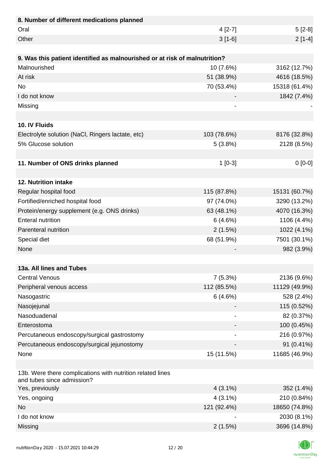| 8. Number of different medications planned                                               |             |               |
|------------------------------------------------------------------------------------------|-------------|---------------|
| Oral                                                                                     | $4[2-7]$    | $5[2-8]$      |
| Other                                                                                    | $3[1-6]$    | $2[1-4]$      |
|                                                                                          |             |               |
| 9. Was this patient identified as malnourished or at risk of malnutrition?               |             |               |
| Malnourished                                                                             | 10 (7.6%)   | 3162 (12.7%)  |
| At risk                                                                                  | 51 (38.9%)  | 4616 (18.5%)  |
| <b>No</b>                                                                                | 70 (53.4%)  | 15318 (61.4%) |
| I do not know                                                                            |             | 1842 (7.4%)   |
| Missing                                                                                  |             |               |
|                                                                                          |             |               |
| 10. IV Fluids                                                                            |             |               |
| Electrolyte solution (NaCl, Ringers lactate, etc)                                        | 103 (78.6%) | 8176 (32.8%)  |
| 5% Glucose solution                                                                      | 5(3.8%)     | 2128 (8.5%)   |
|                                                                                          |             |               |
| 11. Number of ONS drinks planned                                                         | $1$ [0-3]   | $0[0-0]$      |
|                                                                                          |             |               |
| 12. Nutrition intake                                                                     |             |               |
| Regular hospital food                                                                    | 115 (87.8%) | 15131 (60.7%) |
| Fortified/enriched hospital food                                                         | 97 (74.0%)  | 3290 (13.2%)  |
| Protein/energy supplement (e.g. ONS drinks)                                              | 63 (48.1%)  | 4070 (16.3%)  |
| <b>Enteral nutrition</b>                                                                 | 6(4.6%)     | 1106 (4.4%)   |
| Parenteral nutrition                                                                     | 2(1.5%)     | 1022 (4.1%)   |
| Special diet                                                                             | 68 (51.9%)  | 7501 (30.1%)  |
| None                                                                                     |             | 982 (3.9%)    |
|                                                                                          |             |               |
| 13a. All lines and Tubes                                                                 |             |               |
| <b>Central Venous</b>                                                                    | 7(5.3%)     | 2136 (9.6%)   |
| Peripheral venous access                                                                 | 112 (85.5%) | 11129 (49.9%) |
| Nasogastric                                                                              | 6(4.6%)     | 528 (2.4%)    |
| Nasojejunal                                                                              |             | 115 (0.52%)   |
| Nasoduadenal                                                                             | -           | 82 (0.37%)    |
| Enterostoma                                                                              |             | 100 (0.45%)   |
| Percutaneous endoscopy/surgical gastrostomy                                              |             | 216 (0.97%)   |
| Percutaneous endoscopy/surgical jejunostomy                                              |             | 91 (0.41%)    |
| None                                                                                     | 15 (11.5%)  | 11685 (46.9%) |
|                                                                                          |             |               |
| 13b. Were there complications with nutrition related lines<br>and tubes since admission? |             |               |
| Yes, previously                                                                          | $4(3.1\%)$  | 352 (1.4%)    |
| Yes, ongoing                                                                             | $4(3.1\%)$  | 210 (0.84%)   |
| <b>No</b>                                                                                | 121 (92.4%) | 18650 (74.8%) |
| I do not know                                                                            |             | 2030 (8.1%)   |
| Missing                                                                                  | 2(1.5%)     | 3696 (14.8%)  |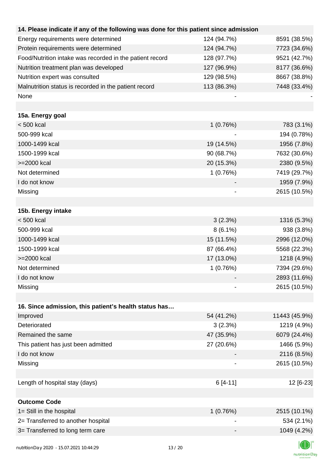| 14. Please indicate if any of the following was done for this patient since admission |             |               |
|---------------------------------------------------------------------------------------|-------------|---------------|
| Energy requirements were determined                                                   | 124 (94.7%) | 8591 (38.5%)  |
| Protein requirements were determined                                                  | 124 (94.7%) | 7723 (34.6%)  |
| Food/Nutrition intake was recorded in the patient record                              | 128 (97.7%) | 9521 (42.7%)  |
| Nutrition treatment plan was developed                                                | 127 (96.9%) | 8177 (36.6%)  |
| Nutrition expert was consulted                                                        | 129 (98.5%) | 8667 (38.8%)  |
| Malnutrition status is recorded in the patient record                                 | 113 (86.3%) | 7448 (33.4%)  |
| None                                                                                  |             |               |
|                                                                                       |             |               |
| 15a. Energy goal                                                                      |             |               |
| < 500 kcal                                                                            | 1(0.76%)    | 783 (3.1%)    |
| 500-999 kcal                                                                          |             | 194 (0.78%)   |
| 1000-1499 kcal                                                                        | 19 (14.5%)  | 1956 (7.8%)   |
| 1500-1999 kcal                                                                        | 90 (68.7%)  | 7632 (30.6%)  |
| >=2000 kcal                                                                           | 20 (15.3%)  | 2380 (9.5%)   |
| Not determined                                                                        | 1(0.76%)    | 7419 (29.7%)  |
| I do not know                                                                         |             | 1959 (7.9%)   |
| Missing                                                                               |             | 2615 (10.5%)  |
|                                                                                       |             |               |
| 15b. Energy intake                                                                    |             |               |
| $< 500$ kcal                                                                          | 3(2.3%)     | 1316 (5.3%)   |
| 500-999 kcal                                                                          | $8(6.1\%)$  | 938 (3.8%)    |
| 1000-1499 kcal                                                                        | 15 (11.5%)  | 2996 (12.0%)  |
| 1500-1999 kcal                                                                        | 87 (66.4%)  | 5568 (22.3%)  |
| >=2000 kcal                                                                           | 17 (13.0%)  | 1218 (4.9%)   |
| Not determined                                                                        | 1(0.76%)    | 7394 (29.6%)  |
| I do not know                                                                         |             | 2893 (11.6%)  |
| Missing                                                                               |             | 2615 (10.5%)  |
|                                                                                       |             |               |
| 16. Since admission, this patient's health status has                                 |             |               |
| Improved                                                                              | 54 (41.2%)  | 11443 (45.9%) |
| Deteriorated                                                                          | 3(2.3%)     | 1219 (4.9%)   |
| Remained the same                                                                     | 47 (35.9%)  | 6079 (24.4%)  |
| This patient has just been admitted                                                   | 27 (20.6%)  | 1466 (5.9%)   |
| I do not know                                                                         |             | 2116 (8.5%)   |
| Missing                                                                               |             | 2615 (10.5%)  |
|                                                                                       |             |               |
| Length of hospital stay (days)                                                        | 6 [4-11]    | 12 [6-23]     |
|                                                                                       |             |               |
| <b>Outcome Code</b>                                                                   |             |               |
| 1= Still in the hospital                                                              | 1(0.76%)    | 2515 (10.1%)  |
| 2= Transferred to another hospital                                                    |             | 534 (2.1%)    |
| 3= Transferred to long term care                                                      |             | 1049 (4.2%)   |
|                                                                                       |             |               |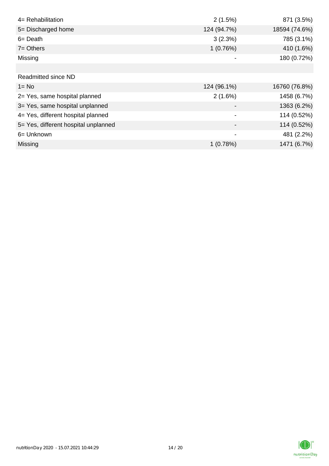| 4= Rehabilitation                    | 2(1.5%)     | 871 (3.5%)    |
|--------------------------------------|-------------|---------------|
| 5= Discharged home                   | 124 (94.7%) | 18594 (74.6%) |
| $6 = Death$                          | 3(2.3%)     | 785 (3.1%)    |
| $7 =$ Others                         | 1(0.76%)    | 410 (1.6%)    |
| Missing                              |             | 180 (0.72%)   |
|                                      |             |               |
| Readmitted since ND                  |             |               |
| $1 = No$                             | 124 (96.1%) | 16760 (76.8%) |
| 2= Yes, same hospital planned        | 2(1.6%)     | 1458 (6.7%)   |
| 3= Yes, same hospital unplanned      |             | 1363 (6.2%)   |
| 4= Yes, different hospital planned   |             | 114 (0.52%)   |
| 5= Yes, different hospital unplanned |             | 114 (0.52%)   |
| 6= Unknown                           |             | 481 (2.2%)    |
| Missing                              | 1(0.78%)    | 1471 (6.7%)   |

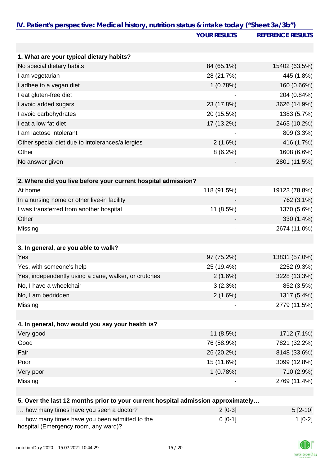| IV. Patient's perspective: Medical history, nutrition status & intake today ("Sheet 3a/3b") | <b>YOUR RESULTS</b> | <b>REFERENCE RESULTS</b> |
|---------------------------------------------------------------------------------------------|---------------------|--------------------------|
|                                                                                             |                     |                          |
|                                                                                             |                     |                          |
| 1. What are your typical dietary habits?                                                    |                     |                          |
| No special dietary habits                                                                   | 84 (65.1%)          | 15402 (63.5%)            |
| I am vegetarian                                                                             | 28 (21.7%)          | 445 (1.8%)               |
| I adhee to a vegan diet                                                                     | 1(0.78%)            | 160 (0.66%)              |
| I eat gluten-free diet                                                                      |                     | 204 (0.84%)              |
| I avoid added sugars                                                                        | 23 (17.8%)          | 3626 (14.9%)             |
| I avoid carbohydrates                                                                       | 20 (15.5%)          | 1383 (5.7%)              |
| I eat a low fat-diet                                                                        | 17 (13.2%)          | 2463 (10.2%)             |
| I am lactose intolerant                                                                     |                     | 809 (3.3%)               |
| Other special diet due to intolerances/allergies                                            | 2(1.6%)             | 416 (1.7%)               |
| Other                                                                                       | 8(6.2%)             | 1608 (6.6%)              |
| No answer given                                                                             |                     | 2801 (11.5%)             |
|                                                                                             |                     |                          |
| 2. Where did you live before your current hospital admission?                               |                     |                          |
| At home                                                                                     | 118 (91.5%)         | 19123 (78.8%)            |
| In a nursing home or other live-in facility                                                 |                     | 762 (3.1%)               |
| I was transferred from another hospital                                                     | 11 (8.5%)           | 1370 (5.6%)              |
| Other                                                                                       |                     | 330 (1.4%)               |
| Missing                                                                                     |                     | 2674 (11.0%)             |
| 3. In general, are you able to walk?                                                        |                     |                          |
| Yes                                                                                         | 97 (75.2%)          | 13831 (57.0%)            |
| Yes, with someone's help                                                                    | 25 (19.4%)          | 2252 (9.3%)              |
| Yes, independently using a cane, walker, or crutches                                        | 2(1.6%)             | 3228 (13.3%)             |
| No, I have a wheelchair                                                                     | 3(2.3%)             | 852 (3.5%)               |
| No, I am bedridden                                                                          | 2(1.6%)             | 1317 (5.4%)              |
| Missing                                                                                     |                     | 2779 (11.5%)             |
|                                                                                             |                     |                          |
| 4. In general, how would you say your health is?                                            |                     |                          |
| Very good                                                                                   | 11 (8.5%)           | 1712 (7.1%)              |
| Good                                                                                        | 76 (58.9%)          | 7821 (32.2%)             |
| Fair                                                                                        | 26 (20.2%)          | 8148 (33.6%)             |
| Poor                                                                                        | 15 (11.6%)          | 3099 (12.8%)             |
| Very poor                                                                                   | 1(0.78%)            | 710 (2.9%)               |
| Missing                                                                                     |                     | 2769 (11.4%)             |
|                                                                                             |                     |                          |
| 5. Over the last 12 months prior to your current hospital admission approximately           |                     |                          |
| how many times have you seen a doctor?                                                      | $2[0-3]$            | $5[2-10]$                |
| how many times have you been admitted to the                                                | $0 [0-1]$           | $1[0-2]$                 |

| hospital (Emergency room, any ward)? |  |
|--------------------------------------|--|
|                                      |  |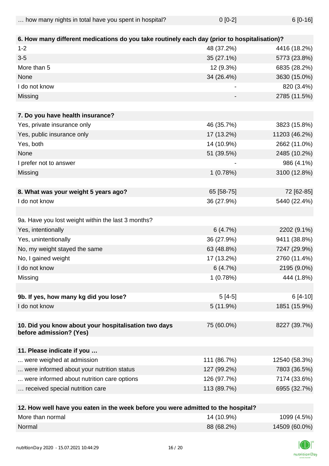| how many nights in total have you spent in hospital? | $0$ [0-2] | $6[0-16]$ |
|------------------------------------------------------|-----------|-----------|
|                                                      |           |           |

| 6. How many different medications do you take routinely each day (prior to hospitalisation)? |             |               |
|----------------------------------------------------------------------------------------------|-------------|---------------|
| $1 - 2$                                                                                      | 48 (37.2%)  | 4416 (18.2%)  |
| $3-5$                                                                                        | 35 (27.1%)  | 5773 (23.8%)  |
| More than 5                                                                                  | 12 (9.3%)   | 6835 (28.2%)  |
| None                                                                                         | 34 (26.4%)  | 3630 (15.0%)  |
| I do not know                                                                                |             | 820 (3.4%)    |
| Missing                                                                                      |             | 2785 (11.5%)  |
|                                                                                              |             |               |
| 7. Do you have health insurance?                                                             |             |               |
| Yes, private insurance only                                                                  | 46 (35.7%)  | 3823 (15.8%)  |
| Yes, public insurance only                                                                   | 17 (13.2%)  | 11203 (46.2%) |
| Yes, both                                                                                    | 14 (10.9%)  | 2662 (11.0%)  |
| None                                                                                         | 51 (39.5%)  | 2485 (10.2%)  |
| I prefer not to answer                                                                       |             | 986 (4.1%)    |
| Missing                                                                                      | 1(0.78%)    | 3100 (12.8%)  |
|                                                                                              |             |               |
| 8. What was your weight 5 years ago?                                                         | 65 [58-75]  | 72 [62-85]    |
| I do not know                                                                                | 36 (27.9%)  | 5440 (22.4%)  |
|                                                                                              |             |               |
| 9a. Have you lost weight within the last 3 months?                                           |             |               |
| Yes, intentionally                                                                           | 6(4.7%)     | 2202 (9.1%)   |
| Yes, unintentionally                                                                         | 36 (27.9%)  | 9411 (38.8%)  |
| No, my weight stayed the same                                                                | 63 (48.8%)  | 7247 (29.9%)  |
| No, I gained weight                                                                          | 17 (13.2%)  | 2760 (11.4%)  |
| I do not know                                                                                | 6(4.7%)     | 2195 (9.0%)   |
| Missing                                                                                      | 1(0.78%)    | 444 (1.8%)    |
|                                                                                              |             |               |
| 9b. If yes, how many kg did you lose?                                                        | $5[4-5]$    | $6[4-10]$     |
| I do not know                                                                                | 5(11.9%)    | 1851 (15.9%)  |
|                                                                                              |             |               |
| 10. Did you know about your hospitalisation two days<br>before admission? (Yes)              | 75 (60.0%)  | 8227 (39.7%)  |
|                                                                                              |             |               |
| 11. Please indicate if you                                                                   |             |               |
| were weighed at admission                                                                    | 111 (86.7%) | 12540 (58.3%) |
| were informed about your nutrition status                                                    | 127 (99.2%) | 7803 (36.5%)  |
| were informed about nutrition care options                                                   | 126 (97.7%) | 7174 (33.6%)  |
| received special nutrition care                                                              | 113 (89.7%) | 6955 (32.7%)  |
|                                                                                              |             |               |
|                                                                                              |             |               |

| 12. How well have you eaten in the week before you were admitted to the hospital? |            |               |  |
|-----------------------------------------------------------------------------------|------------|---------------|--|
| More than normal                                                                  | 14 (10.9%) | 1099 (4.5%)   |  |
| Normal                                                                            | 88(68.2%)  | 14509 (60.0%) |  |

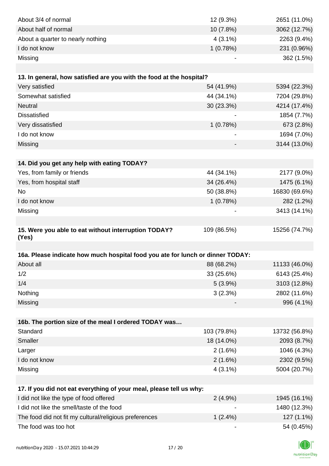| About 3/4 of normal                                                            | 12 (9.3%)   | 2651 (11.0%)  |
|--------------------------------------------------------------------------------|-------------|---------------|
| About half of normal                                                           | 10 (7.8%)   | 3062 (12.7%)  |
| About a quarter to nearly nothing                                              | $4(3.1\%)$  | 2263 (9.4%)   |
| I do not know                                                                  | 1(0.78%)    | 231 (0.96%)   |
| Missing                                                                        |             | 362 (1.5%)    |
|                                                                                |             |               |
| 13. In general, how satisfied are you with the food at the hospital?           |             |               |
| Very satisfied                                                                 | 54 (41.9%)  | 5394 (22.3%)  |
| Somewhat satisfied                                                             | 44 (34.1%)  | 7204 (29.8%)  |
| <b>Neutral</b>                                                                 | 30 (23.3%)  | 4214 (17.4%)  |
| <b>Dissatisfied</b>                                                            |             | 1854 (7.7%)   |
| Very dissatisfied                                                              | 1(0.78%)    | 673 (2.8%)    |
| I do not know                                                                  |             | 1694 (7.0%)   |
| Missing                                                                        |             | 3144 (13.0%)  |
|                                                                                |             |               |
| 14. Did you get any help with eating TODAY?                                    |             |               |
| Yes, from family or friends                                                    | 44 (34.1%)  | 2177 (9.0%)   |
| Yes, from hospital staff                                                       | 34 (26.4%)  | 1475 (6.1%)   |
| <b>No</b>                                                                      | 50 (38.8%)  | 16830 (69.6%) |
| I do not know                                                                  | 1(0.78%)    | 282 (1.2%)    |
| Missing                                                                        |             | 3413 (14.1%)  |
|                                                                                |             |               |
| 15. Were you able to eat without interruption TODAY?                           | 109 (86.5%) | 15256 (74.7%) |
| (Yes)                                                                          |             |               |
|                                                                                |             |               |
| 16a. Please indicate how much hospital food you ate for lunch or dinner TODAY: |             |               |
| About all                                                                      | 88 (68.2%)  | 11133 (46.0%) |
| 1/2                                                                            | 33 (25.6%)  | 6143 (25.4%)  |
| 1/4                                                                            | $5(3.9\%)$  | 3103 (12.8%)  |
| Nothing                                                                        | 3(2.3%)     | 2802 (11.6%)  |
| Missing                                                                        |             | 996 (4.1%)    |
|                                                                                |             |               |
| 16b. The portion size of the meal I ordered TODAY was                          |             |               |
| Standard                                                                       | 103 (79.8%) | 13732 (56.8%) |
| Smaller                                                                        | 18 (14.0%)  | 2093 (8.7%)   |
| Larger                                                                         | 2(1.6%)     | 1046 (4.3%)   |
| I do not know                                                                  | 2(1.6%)     | 2302 (9.5%)   |
| Missing                                                                        | $4(3.1\%)$  | 5004 (20.7%)  |
|                                                                                |             |               |
| 17. If you did not eat everything of your meal, please tell us why:            |             |               |
| I did not like the type of food offered                                        | 2(4.9%)     | 1945 (16.1%)  |
| I did not like the smell/taste of the food                                     |             | 1480 (12.3%)  |
| The food did not fit my cultural/religious preferences                         | 1(2.4%)     | 127 (1.1%)    |
| The food was too hot                                                           |             | 54 (0.45%)    |

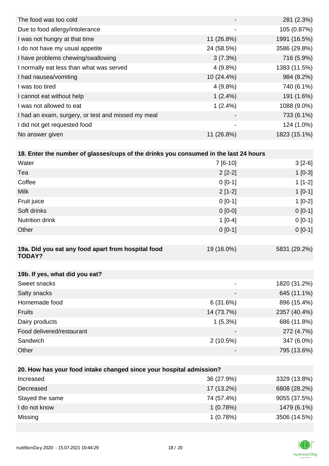|                          | 281 (2.3%)   |
|--------------------------|--------------|
| $\overline{\phantom{a}}$ | 105 (0.87%)  |
| 11 (26.8%)               | 1991 (16.5%) |
| 24 (58.5%)               | 3586 (29.8%) |
| 3(7.3%)                  | 716 (5.9%)   |
| $4(9.8\%)$               | 1383 (11.5%) |
| 10 (24.4%)               | 984 (8.2%)   |
| $4(9.8\%)$               | 740 (6.1%)   |
| $1(2.4\%)$               | 191 (1.6%)   |
| $1(2.4\%)$               | 1088 (9.0%)  |
| $\overline{\phantom{0}}$ | 733 (6.1%)   |
| $\blacksquare$           | 124 (1.0%)   |
| 11 (26.8%)               | 1823 (15.1%) |
|                          |              |

|  | 18. Enter the number of glasses/cups of the drinks you consumed in the last 24 hours |  |  |  |  |
|--|--------------------------------------------------------------------------------------|--|--|--|--|
|--|--------------------------------------------------------------------------------------|--|--|--|--|

| Water                                                               | $7[6-10]$                | $3[2-6]$     |  |  |
|---------------------------------------------------------------------|--------------------------|--------------|--|--|
| Tea                                                                 | $2[2-2]$                 | $1[0-3]$     |  |  |
| Coffee                                                              | $0 [0-1]$                | $1[1-2]$     |  |  |
| <b>Milk</b>                                                         | $2[1-2]$                 | $1[0-1]$     |  |  |
| Fruit juice                                                         | $0 [0-1]$                | $1[0-2]$     |  |  |
| Soft drinks                                                         | $0 [0-0]$                | $0[0-1]$     |  |  |
| Nutrition drink                                                     | $1[0-4]$                 | $0[0-1]$     |  |  |
| Other                                                               | $0[0-1]$                 | $0[0-1]$     |  |  |
|                                                                     |                          |              |  |  |
| 19a. Did you eat any food apart from hospital food<br><b>TODAY?</b> | 19 (16.0%)               | 5831 (29.2%) |  |  |
|                                                                     |                          |              |  |  |
| 19b. If yes, what did you eat?                                      |                          |              |  |  |
| Sweet snacks                                                        | $\overline{\phantom{a}}$ | 1820 (31.2%) |  |  |
| Salty snacks                                                        | -                        | 645 (11.1%)  |  |  |
| Homemade food                                                       | 6(31.6%)                 | 896 (15.4%)  |  |  |
| <b>Fruits</b>                                                       | 14 (73.7%)               | 2357 (40.4%) |  |  |
| Dairy products                                                      | 1(5.3%)                  | 686 (11.8%)  |  |  |
| Food delivered/restaurant                                           |                          | 272 (4.7%)   |  |  |
| Sandwich                                                            | 2(10.5%)                 | 347 (6.0%)   |  |  |
| Other                                                               |                          | 795 (13.6%)  |  |  |
|                                                                     |                          |              |  |  |
| 20 How has your food intake changed since your hospital admission?  |                          |              |  |  |

| <u>ZU. HOW HAS YOUI TOOU INLANE CHANGED SINCE YOUI HOSPILAI AUNISSION A</u> |            |              |  |  |
|-----------------------------------------------------------------------------|------------|--------------|--|--|
| Increased                                                                   | 36 (27.9%) | 3329 (13.8%) |  |  |
| Decreased                                                                   | 17 (13.2%) | 6808 (28.2%) |  |  |
| Stayed the same                                                             | 74 (57.4%) | 9055 (37.5%) |  |  |
| I do not know                                                               | 1(0.78%)   | 1479 (6.1%)  |  |  |
| Missing                                                                     | 1(0.78%)   | 3506 (14.5%) |  |  |

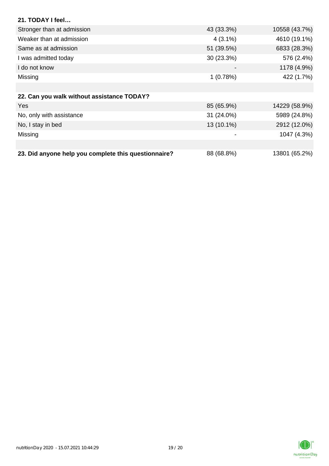| 21. TODAY I feel                                     |            |               |
|------------------------------------------------------|------------|---------------|
| Stronger than at admission                           | 43 (33.3%) | 10558 (43.7%) |
| Weaker than at admission                             | $4(3.1\%)$ | 4610 (19.1%)  |
| Same as at admission                                 | 51 (39.5%) | 6833 (28.3%)  |
| I was admitted today                                 | 30 (23.3%) | 576 (2.4%)    |
| I do not know                                        |            | 1178 (4.9%)   |
| Missing                                              | 1(0.78%)   | 422 (1.7%)    |
|                                                      |            |               |
| 22. Can you walk without assistance TODAY?           |            |               |
| Yes                                                  | 85 (65.9%) | 14229 (58.9%) |
| No, only with assistance                             | 31 (24.0%) | 5989 (24.8%)  |
| No, I stay in bed                                    | 13 (10.1%) | 2912 (12.0%)  |
| Missing                                              |            | 1047 (4.3%)   |
|                                                      |            |               |
| 23. Did anyone help you complete this questionnaire? | 88 (68.8%) | 13801 (65.2%) |